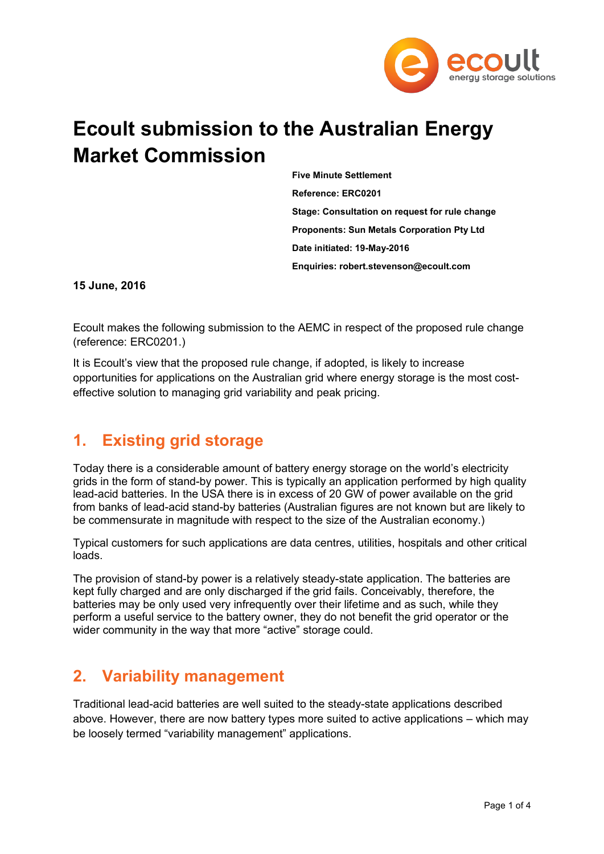

# **Ecoult submission to the Australian Energy Market Commission**

**Five Minute Settlement Reference: ERC0201 Stage: Consultation on request for rule change Proponents: Sun Metals Corporation Pty Ltd Date initiated: 19-May-2016 Enquiries: robert.stevenson@ecoult.com**

#### **15 June, 2016**

Ecoult makes the following submission to the AEMC in respect of the proposed rule change (reference: ERC0201.)

It is Ecoult's view that the proposed rule change, if adopted, is likely to increase opportunities for applications on the Australian grid where energy storage is the most costeffective solution to managing grid variability and peak pricing.

#### **1. Existing grid storage**

Today there is a considerable amount of battery energy storage on the world's electricity grids in the form of stand-by power. This is typically an application performed by high quality lead-acid batteries. In the USA there is in excess of 20 GW of power available on the grid from banks of lead-acid stand-by batteries (Australian figures are not known but are likely to be commensurate in magnitude with respect to the size of the Australian economy.)

Typical customers for such applications are data centres, utilities, hospitals and other critical loads.

The provision of stand-by power is a relatively steady-state application. The batteries are kept fully charged and are only discharged if the grid fails. Conceivably, therefore, the batteries may be only used very infrequently over their lifetime and as such, while they perform a useful service to the battery owner, they do not benefit the grid operator or the wider community in the way that more "active" storage could.

#### **2. Variability management**

Traditional lead-acid batteries are well suited to the steady-state applications described above. However, there are now battery types more suited to active applications – which may be loosely termed "variability management" applications.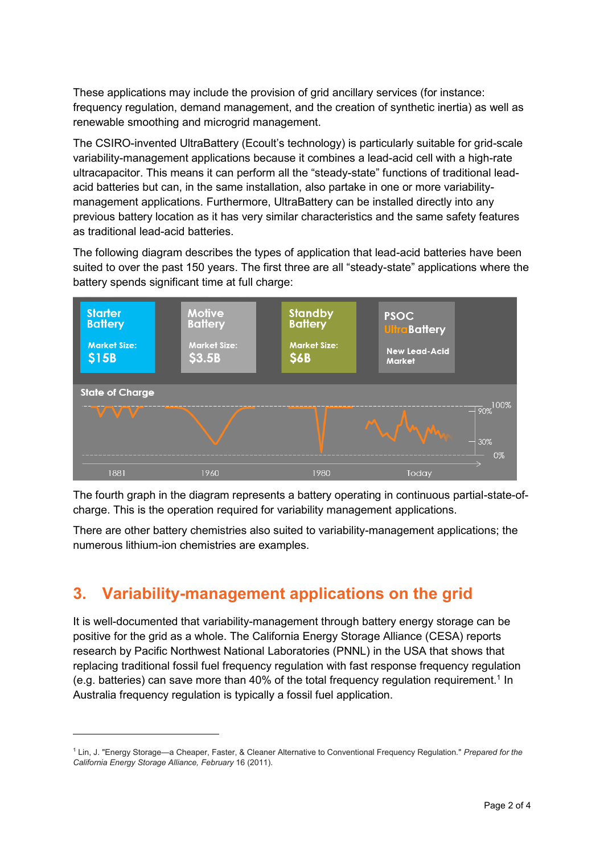These applications may include the provision of grid ancillary services (for instance: frequency regulation, demand management, and the creation of synthetic inertia) as well as renewable smoothing and microgrid management.

The CSIRO-invented UltraBattery (Ecoult's technology) is particularly suitable for grid-scale variability-management applications because it combines a lead-acid cell with a high-rate ultracapacitor. This means it can perform all the "steady-state" functions of traditional leadacid batteries but can, in the same installation, also partake in one or more variabilitymanagement applications. Furthermore, UltraBattery can be installed directly into any previous battery location as it has very similar characteristics and the same safety features as traditional lead-acid batteries.

The following diagram describes the types of application that lead-acid batteries have been suited to over the past 150 years. The first three are all "steady-state" applications where the battery spends significant time at full charge:



The fourth graph in the diagram represents a battery operating in continuous partial-state-ofcharge. This is the operation required for variability management applications.

There are other battery chemistries also suited to variability-management applications; the numerous lithium-ion chemistries are examples.

### **3. Variability-management applications on the grid**

-

It is well-documented that variability-management through battery energy storage can be positive for the grid as a whole. The California Energy Storage Alliance (CESA) reports research by Pacific Northwest National Laboratories (PNNL) in the USA that shows that replacing traditional fossil fuel frequency regulation with fast response frequency regulation (e.g. batteries) can save more than  $40\%$  of the total frequency regulation requirement.<sup>1</sup> In Australia frequency regulation is typically a fossil fuel application.

<sup>1</sup> Lin, J. "Energy Storage—a Cheaper, Faster, & Cleaner Alternative to Conventional Frequency Regulation." *Prepared for the California Energy Storage Alliance, February* 16 (2011).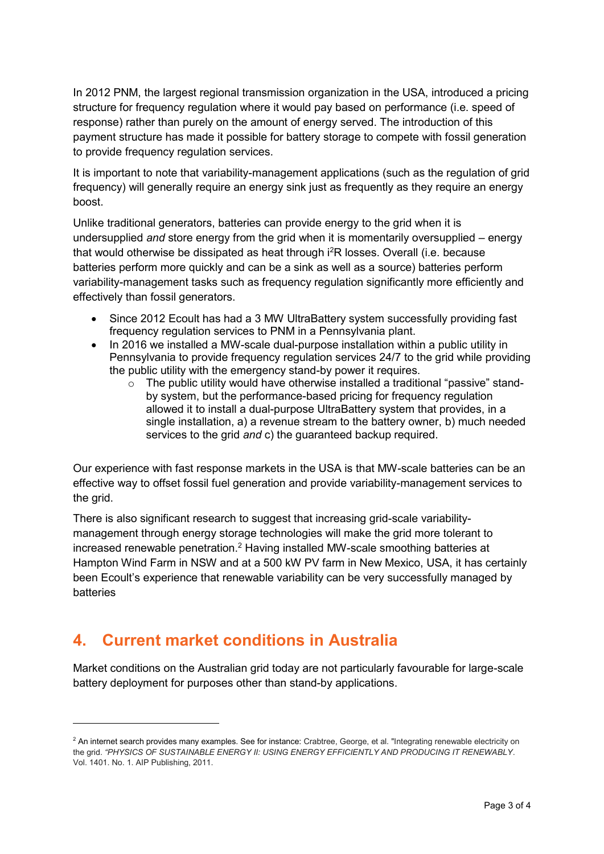In 2012 PNM, the largest regional transmission organization in the USA, introduced a pricing structure for frequency regulation where it would pay based on performance (i.e. speed of response) rather than purely on the amount of energy served. The introduction of this payment structure has made it possible for battery storage to compete with fossil generation to provide frequency regulation services.

It is important to note that variability-management applications (such as the regulation of grid frequency) will generally require an energy sink just as frequently as they require an energy boost.

Unlike traditional generators, batteries can provide energy to the grid when it is undersupplied *and* store energy from the grid when it is momentarily oversupplied – energy that would otherwise be dissipated as heat through i<sup>2</sup>R losses. Overall (i.e. because batteries perform more quickly and can be a sink as well as a source) batteries perform variability-management tasks such as frequency regulation significantly more efficiently and effectively than fossil generators.

- Since 2012 Ecoult has had a 3 MW UltraBattery system successfully providing fast frequency regulation services to PNM in a Pennsylvania plant.
- In 2016 we installed a MW-scale dual-purpose installation within a public utility in Pennsylvania to provide frequency regulation services 24/7 to the grid while providing the public utility with the emergency stand-by power it requires.
	- $\circ$  The public utility would have otherwise installed a traditional "passive" standby system, but the performance-based pricing for frequency regulation allowed it to install a dual-purpose UltraBattery system that provides, in a single installation, a) a revenue stream to the battery owner, b) much needed services to the grid *and* c) the guaranteed backup required.

Our experience with fast response markets in the USA is that MW-scale batteries can be an effective way to offset fossil fuel generation and provide variability-management services to the grid.

There is also significant research to suggest that increasing grid-scale variabilitymanagement through energy storage technologies will make the grid more tolerant to increased renewable penetration.<sup>2</sup> Having installed MW-scale smoothing batteries at Hampton Wind Farm in NSW and at a 500 kW PV farm in New Mexico, USA, it has certainly been Ecoult's experience that renewable variability can be very successfully managed by batteries

### **4. Current market conditions in Australia**

-

Market conditions on the Australian grid today are not particularly favourable for large-scale battery deployment for purposes other than stand-by applications.

<sup>&</sup>lt;sup>2</sup> An internet search provides many examples. See for instance: Crabtree, George, et al. "Integrating renewable electricity on the grid. *"PHYSICS OF SUSTAINABLE ENERGY II: USING ENERGY EFFICIENTLY AND PRODUCING IT RENEWABLY*. Vol. 1401. No. 1. AIP Publishing, 2011.